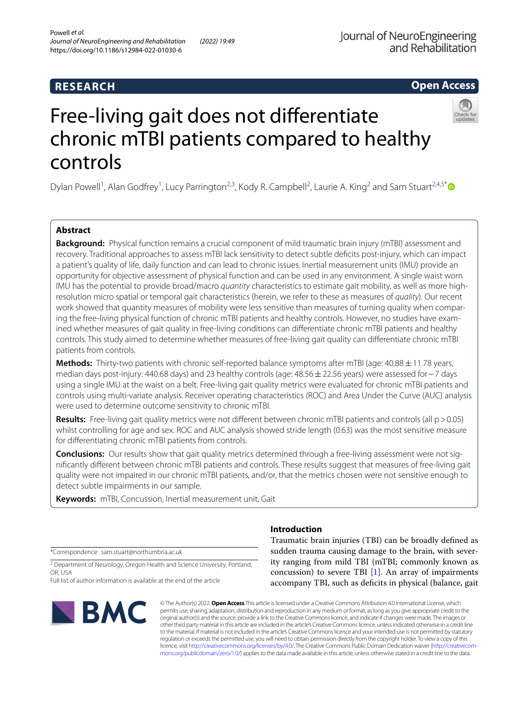# **Open Access**



# Free-living gait does not diferentiate chronic mTBI patients compared to healthy controls

Dylan Powell<sup>1</sup>, Alan Godfrey<sup>1</sup>, Lucy Parrington<sup>2,3</sup>, Kody R. Campbell<sup>2</sup>, Laurie A. King<sup>2</sup> and Sam Stuart<sup>2,4,5\*</sup>

# **Abstract**

**Background:** Physical function remains a crucial component of mild traumatic brain injury (mTBI) assessment and recovery. Traditional approaches to assess mTBI lack sensitivity to detect subtle defcits post-injury, which can impact a patient's quality of life, daily function and can lead to chronic issues. Inertial measurement units (IMU) provide an opportunity for objective assessment of physical function and can be used in any environment. A single waist worn IMU has the potential to provide broad/macro *quantity* characteristics to estimate gait mobility, as well as more highresolution micro spatial or temporal gait characteristics (herein, we refer to these as measures of *quality*). Our recent work showed that quantity measures of mobility were less sensitive than measures of turning quality when comparing the free-living physical function of chronic mTBI patients and healthy controls. However, no studies have examined whether measures of gait quality in free-living conditions can diferentiate chronic mTBI patients and healthy controls. This study aimed to determine whether measures of free-living gait quality can diferentiate chronic mTBI patients from controls.

**Methods:** Thirty-two patients with chronic self-reported balance symptoms after mTBI (age: 40.88  $\pm$  11.78 years, median days post-injury: 440.68 days) and 23 healthy controls (age:  $48.56 \pm 22.56$  years) were assessed for  $\sim$  7 days using a single IMU at the waist on a belt. Free-living gait quality metrics were evaluated for chronic mTBI patients and controls using multi-variate analysis. Receiver operating characteristics (ROC) and Area Under the Curve (AUC) analysis were used to determine outcome sensitivity to chronic mTBI.

**Results:** Free-living gait quality metrics were not different between chronic mTBI patients and controls (all p>0.05) whilst controlling for age and sex. ROC and AUC analysis showed stride length (0.63) was the most sensitive measure for diferentiating chronic mTBI patients from controls.

**Conclusions:** Our results show that gait quality metrics determined through a free-living assessment were not signifcantly diferent between chronic mTBI patients and controls. These results suggest that measures of free-living gait quality were not impaired in our chronic mTBI patients, and/or, that the metrics chosen were not sensitive enough to detect subtle impairments in our sample.

**Keywords:** mTBI, Concussion, Inertial measurement unit, Gait

\*Correspondence: sam.stuart@northumbria.ac.uk

<sup>2</sup> Department of Neurology, Oregon Health and Science University, Portland, OR, USA

Full list of author information is available at the end of the article



# **Introduction**

Traumatic brain injuries (TBI) can be broadly defned as sudden trauma causing damage to the brain, with severity ranging from mild TBI (mTBI; commonly known as concussion) to severe TBI  $[1]$  $[1]$ . An array of impairments accompany TBI, such as deficits in physical (balance, gait

© The Author(s) 2022. **Open Access** This article is licensed under a Creative Commons Attribution 4.0 International License, which permits use, sharing, adaptation, distribution and reproduction in any medium or format, as long as you give appropriate credit to the original author(s) and the source, provide a link to the Creative Commons licence, and indicate if changes were made. The images or other third party material in this article are included in the article's Creative Commons licence, unless indicated otherwise in a credit line to the material. If material is not included in the article's Creative Commons licence and your intended use is not permitted by statutory regulation or exceeds the permitted use, you will need to obtain permission directly from the copyright holder. To view a copy of this licence, visit [http://creativecommons.org/licenses/by/4.0/.](http://creativecommons.org/licenses/by/4.0/) The Creative Commons Public Domain Dedication waiver ([http://creativecom](http://creativecommons.org/publicdomain/zero/1.0/)[mons.org/publicdomain/zero/1.0/\)](http://creativecommons.org/publicdomain/zero/1.0/) applies to the data made available in this article, unless otherwise stated in a credit line to the data.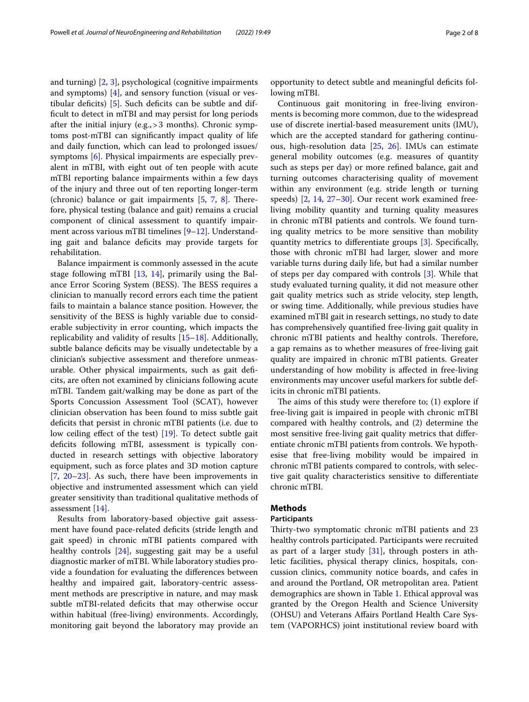and turning) [\[2](#page-6-1), [3](#page-6-2)], psychological (cognitive impairments and symptoms)  $[4]$ , and sensory function (visual or vestibular deficits)  $[5]$  $[5]$ . Such deficits can be subtle and diffcult to detect in mTBI and may persist for long periods after the initial injury (e.g.,>3 months). Chronic symptoms post-mTBI can signifcantly impact quality of life and daily function, which can lead to prolonged issues/ symptoms [\[6](#page-6-5)]. Physical impairments are especially prevalent in mTBI, with eight out of ten people with acute mTBI reporting balance impairments within a few days of the injury and three out of ten reporting longer-term (chronic) balance or gait impairments  $[5, 7, 8]$  $[5, 7, 8]$  $[5, 7, 8]$  $[5, 7, 8]$  $[5, 7, 8]$  $[5, 7, 8]$ . Therefore, physical testing (balance and gait) remains a crucial component of clinical assessment to quantify impairment across various mTBI timelines [\[9–](#page-6-8)[12\]](#page-6-9). Understanding gait and balance defcits may provide targets for rehabilitation.

Balance impairment is commonly assessed in the acute stage following mTBI [[13,](#page-6-10) [14\]](#page-6-11), primarily using the Balance Error Scoring System (BESS). The BESS requires a clinician to manually record errors each time the patient fails to maintain a balance stance position. However, the sensitivity of the BESS is highly variable due to considerable subjectivity in error counting, which impacts the replicability and validity of results [\[15–](#page-6-12)[18\]](#page-6-13). Additionally, subtle balance deficits may be visually undetectable by a clinician's subjective assessment and therefore unmeasurable. Other physical impairments, such as gait defcits, are often not examined by clinicians following acute mTBI. Tandem gait/walking may be done as part of the Sports Concussion Assessment Tool (SCAT), however clinician observation has been found to miss subtle gait deficits that persist in chronic mTBI patients (i.e. due to low ceiling effect of the test) [[19\]](#page-6-14). To detect subtle gait deficits following mTBI, assessment is typically conducted in research settings with objective laboratory equipment, such as force plates and 3D motion capture [[7,](#page-6-6) [20](#page-6-15)[–23\]](#page-6-16). As such, there have been improvements in objective and instrumented assessment which can yield greater sensitivity than traditional qualitative methods of assessment [[14\]](#page-6-11).

Results from laboratory-based objective gait assessment have found pace-related deficits (stride length and gait speed) in chronic mTBI patients compared with healthy controls [[24\]](#page-6-17), suggesting gait may be a useful diagnostic marker of mTBI. While laboratory studies provide a foundation for evaluating the diferences between healthy and impaired gait, laboratory-centric assessment methods are prescriptive in nature, and may mask subtle mTBI-related deficits that may otherwise occur within habitual (free-living) environments. Accordingly, monitoring gait beyond the laboratory may provide an

opportunity to detect subtle and meaningful defcits following mTBI.

Continuous gait monitoring in free-living environments is becoming more common, due to the widespread use of discrete inertial-based measurement units (IMU), which are the accepted standard for gathering continuous, high-resolution data [[25,](#page-7-0) [26\]](#page-7-1). IMUs can estimate general mobility outcomes (e.g. measures of quantity such as steps per day) or more refned balance, gait and turning outcomes characterising quality of movement within any environment (e.g. stride length or turning speeds) [\[2,](#page-6-1) [14](#page-6-11), [27–](#page-7-2)[30\]](#page-7-3). Our recent work examined freeliving mobility quantity and turning quality measures in chronic mTBI patients and controls. We found turning quality metrics to be more sensitive than mobility quantity metrics to diferentiate groups [[3\]](#page-6-2). Specifcally, those with chronic mTBI had larger, slower and more variable turns during daily life, but had a similar number of steps per day compared with controls [\[3](#page-6-2)]. While that study evaluated turning quality, it did not measure other gait quality metrics such as stride velocity, step length, or swing time. Additionally, while previous studies have examined mTBI gait in research settings, no study to date has comprehensively quantifed free-living gait quality in chronic mTBI patients and healthy controls. Therefore, a gap remains as to whether measures of free-living gait quality are impaired in chronic mTBI patients. Greater understanding of how mobility is afected in free-living environments may uncover useful markers for subtle deficits in chronic mTBI patients.

The aims of this study were therefore to;  $(1)$  explore if free-living gait is impaired in people with chronic mTBI compared with healthy controls, and (2) determine the most sensitive free-living gait quality metrics that diferentiate chronic mTBI patients from controls. We hypothesise that free-living mobility would be impaired in chronic mTBI patients compared to controls, with selective gait quality characteristics sensitive to diferentiate chronic mTBI.

## **Methods**

## **Participants**

Thirty-two symptomatic chronic mTBI patients and 23 healthy controls participated. Participants were recruited as part of a larger study [\[31](#page-7-4)], through posters in athletic facilities, physical therapy clinics, hospitals, concussion clinics, community notice boards, and cafes in and around the Portland, OR metropolitan area. Patient demographics are shown in Table [1.](#page-2-0) Ethical approval was granted by the Oregon Health and Science University (OHSU) and Veterans Afairs Portland Health Care System (VAPORHCS) joint institutional review board with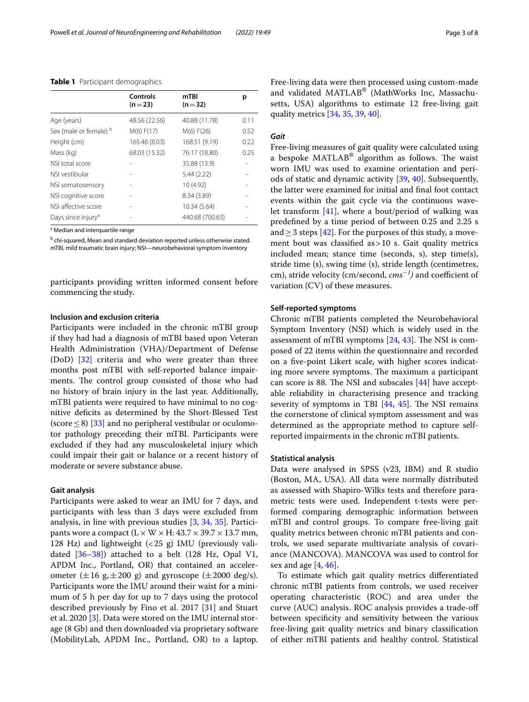|                                | <b>Controls</b><br>$(n=23)$ | mTBI<br>$(n=32)$ | р    |
|--------------------------------|-----------------------------|------------------|------|
| Age (years)                    | 48.56 (22.56)               | 40.88 (11.78)    | 0.11 |
| Sex (male or female) b         | M(6) F(17)                  | M(6) F(26)       | 0.52 |
| Height (cm)                    | 165.46 (8.03)               | 168.51 (9.19)    | 0.22 |
| Mass (kg)                      | 68.03 (15.32)               | 76.17 (18.80)    | 0.25 |
| NSI total score                |                             | 35.88 (13.9)     |      |
| NSI vestibular                 |                             | 5.44 (2.22)      |      |
| NSI somatosensory              |                             | 10 (4.92)        |      |
| NSI cognitive score            |                             | 8.34 (3.89)      |      |
| NSLaffective score             |                             | 10.34 (5.64)     |      |
| Days since injury <sup>a</sup> |                             | 440.68 (700.63)  |      |

<span id="page-2-0"></span>**Table 1** Participant demographics

<sup>a</sup> Median and interquartile range

<sup>b</sup> chi-squared, Mean and standard deviation reported unless otherwise stated. mTBI, mild traumatic brain injury; NSI—neurobehavioral symptom inventory

participants providing written informed consent before commencing the study.

## **Inclusion and exclusion criteria**

Participants were included in the chronic mTBI group if they had had a diagnosis of mTBI based upon Veteran Health Administration (VHA)/Department of Defense (DoD) [\[32\]](#page-7-5) criteria and who were greater than three months post mTBI with self-reported balance impairments. The control group consisted of those who had no history of brain injury in the last year. Additionally, mTBI patients were required to have minimal to no cognitive defcits as determined by the Short-Blessed Test (score  $\leq$  8) [\[33\]](#page-7-6) and no peripheral vestibular or oculomotor pathology preceding their mTBI. Participants were excluded if they had any musculoskeletal injury which could impair their gait or balance or a recent history of moderate or severe substance abuse.

## **Gait analysis**

Participants were asked to wear an IMU for 7 days, and participants with less than 3 days were excluded from analysis, in line with previous studies [[3,](#page-6-2) [34,](#page-7-7) [35\]](#page-7-8). Participants wore a compact  $(L \times W \times H: 43.7 \times 39.7 \times 13.7$  mm, 128 Hz) and lightweight  $( $25 \text{ g}$ )$  IMU (previously validated  $[36-38]$  $[36-38]$  $[36-38]$ ) attached to a belt (128 Hz, Opal V1, APDM Inc., Portland, OR) that contained an accelerometer  $(\pm 16 \text{ g}, \pm 200 \text{ g})$  and gyroscope  $(\pm 2000 \text{ deg/s}).$ Participants wore the IMU around their waist for a minimum of 5 h per day for up to 7 days using the protocol described previously by Fino et al. 2017 [\[31](#page-7-4)] and Stuart et al. 2020 [\[3](#page-6-2)]. Data were stored on the IMU internal storage (8 Gb) and then downloaded via proprietary software (MobilityLab, APDM Inc., Portland, OR) to a laptop. Free-living data were then processed using custom-made and validated MATLAB® (MathWorks Inc, Massachusetts, USA) algorithms to estimate 12 free-living gait quality metrics [\[34](#page-7-7), [35](#page-7-8), [39,](#page-7-11) [40](#page-7-12)].

## *Gait*

Free-living measures of gait quality were calculated using a bespoke MATLAB® algorithm as follows. The waist worn IMU was used to examine orientation and periods of static and dynamic activity [\[39](#page-7-11), [40](#page-7-12)]. Subsequently, the latter were examined for initial and fnal foot contact events within the gait cycle via the continuous wavelet transform [[41](#page-7-13)], where a bout/period of walking was predefned by a time period of between 0.25 and 2.25 s and  $\geq$  3 steps [\[42](#page-7-14)]. For the purposes of this study, a movement bout was classified as  $>10$  s. Gait quality metrics included mean; stance time (seconds, s), step time(s), stride time (s), swing time (s), stride length (centimetres, cm), stride velocity (cm/second,  $cms^{-1}$ ) and coefficient of variation (CV) of these measures.

## **Self‑reported symptoms**

Chronic mTBI patients completed the Neurobehavioral Symptom Inventory (NSI) which is widely used in the assessment of mTBI symptoms  $[24, 43]$  $[24, 43]$  $[24, 43]$ . The NSI is composed of 22 items within the questionnaire and recorded on a fve-point Likert scale, with higher scores indicating more severe symptoms. The maximum a participant can score is 88. The NSI and subscales  $[44]$  $[44]$  have acceptable reliability in characterising presence and tracking severity of symptoms in TBI  $[44, 45]$  $[44, 45]$  $[44, 45]$  $[44, 45]$ . The NSI remains the cornerstone of clinical symptom assessment and was determined as the appropriate method to capture selfreported impairments in the chronic mTBI patients.

## **Statistical analysis**

Data were analysed in SPSS (v23, IBM) and R studio (Boston, MA, USA). All data were normally distributed as assessed with Shapiro-Wilks tests and therefore parametric tests were used. Independent t-tests were performed comparing demographic information between mTBI and control groups. To compare free-living gait quality metrics between chronic mTBI patients and controls, we used separate multivariate analysis of covariance (MANCOVA). MANCOVA was used to control for sex and age  $[4, 46]$  $[4, 46]$  $[4, 46]$ .

To estimate which gait quality metrics diferentiated chronic mTBI patients from controls, we used receiver operating characteristic (ROC) and area under the curve (AUC) analysis. ROC analysis provides a trade-of between specifcity and sensitivity between the various free-living gait quality metrics and binary classifcation of either mTBI patients and healthy control. Statistical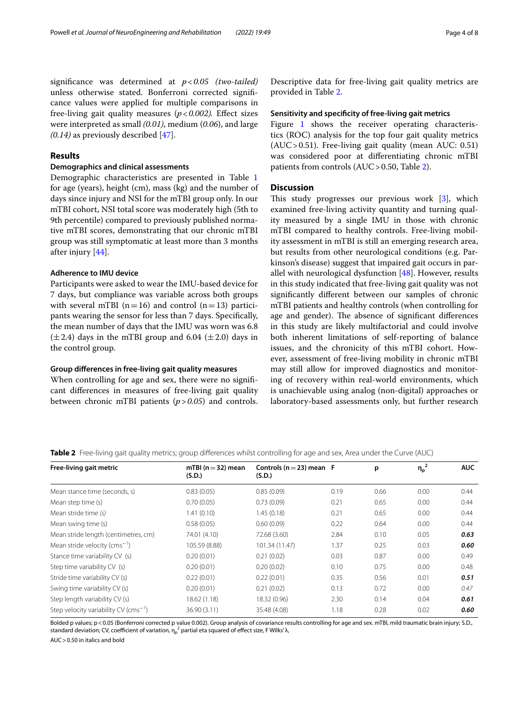signifcance was determined at *p*<*0.05 (two-tailed)* unless otherwise stated. Bonferroni corrected signifcance values were applied for multiple comparisons in free-living gait quality measures  $(p < 0.002)$ . Effect sizes were interpreted as small *(0.01)*, medium (*0.06*), and large *(0.14)* as previously described [[47](#page-7-19)].

## **Results**

## **Demographics and clinical assessments**

Demographic characteristics are presented in Table [1](#page-2-0) for age (years), height (cm), mass (kg) and the number of days since injury and NSI for the mTBI group only. In our mTBI cohort, NSI total score was moderately high (5th to 9th percentile) compared to previously published normative mTBI scores, demonstrating that our chronic mTBI group was still symptomatic at least more than 3 months after injury [[44\]](#page-7-16).

## **Adherence to IMU device**

Participants were asked to wear the IMU-based device for 7 days, but compliance was variable across both groups with several mTBI ( $n=16$ ) and control ( $n=13$ ) participants wearing the sensor for less than 7 days. Specifcally, the mean number of days that the IMU was worn was 6.8  $(\pm 2.4)$  days in the mTBI group and 6.04  $(\pm 2.0)$  days in the control group.

## **Group diferences in free‑living gait quality measures**

When controlling for age and sex, there were no signifcant diferences in measures of free-living gait quality between chronic mTBI patients (*p*>*0.05*) and controls. Descriptive data for free-living gait quality metrics are provided in Table [2](#page-3-0).

## **Sensitivity and specifcity of free‑living gait metrics**

Figure [1](#page-4-0) shows the receiver operating characteristics (ROC) analysis for the top four gait quality metrics (AUC>0.51). Free-living gait quality (mean AUC: 0.51) was considered poor at diferentiating chronic mTBI patients from controls (AUC>0.50, Table [2](#page-3-0)).

## **Discussion**

This study progresses our previous work  $[3]$  $[3]$ , which examined free-living activity quantity and turning quality measured by a single IMU in those with chronic mTBI compared to healthy controls. Free-living mobility assessment in mTBI is still an emerging research area, but results from other neurological conditions (e.g. Parkinson's disease) suggest that impaired gait occurs in parallel with neurological dysfunction  $[48]$  $[48]$ . However, results in this study indicated that free-living gait quality was not signifcantly diferent between our samples of chronic mTBI patients and healthy controls (when controlling for age and gender). The absence of significant differences in this study are likely multifactorial and could involve both inherent limitations of self-reporting of balance issues, and the chronicity of this mTBI cohort. However, assessment of free-living mobility in chronic mTBI may still allow for improved diagnostics and monitoring of recovery within real-world environments, which is unachievable using analog (non-digital) approaches or laboratory-based assessments only, but further research

<span id="page-3-0"></span>**Table 2** Free-living gait quality metrics; group differences whilst controlling for age and sex, Area under the Curve (AUC)

| Free-living gait metric                     | mTBI ( $n = 32$ ) mean<br>(S.D.) | Controls ( $n = 23$ ) mean F |      | p    | $\eta_p^2$ | <b>AUC</b> |
|---------------------------------------------|----------------------------------|------------------------------|------|------|------------|------------|
|                                             |                                  | (S.D.)                       |      |      |            |            |
| Mean stance time (seconds, s)               | 0.83(0.05)                       | 0.85(0.09)                   | 0.19 | 0.66 | 0.00       | 0.44       |
| Mean step time (s)                          | 0.70(0.05)                       | 0.73(0.09)                   | 0.21 | 0.65 | 0.00       | 0.44       |
| Mean stride time (s)                        | 1.41(0.10)                       | 1.45(0.18)                   | 0.21 | 0.65 | 0.00       | 0.44       |
| Mean swing time (s)                         | 0.58(0.05)                       | 0.60(0.09)                   | 0.22 | 0.64 | 0.00       | 0.44       |
| Mean stride length (centimetres, cm)        | 74.01 (4.10)                     | 72.68 (3.60)                 | 2.84 | 0.10 | 0.05       | 0.63       |
| Mean stride velocity (cms <sup>-1</sup> )   | 105.59 (8.88)                    | 101.34 (11.47)               | 1.37 | 0.25 | 0.03       | 0.60       |
| Stance time variability CV (s)              | 0.20(0.01)                       | 0.21(0.02)                   | 0.03 | 0.87 | 0.00       | 0.49       |
| Step time variability CV (s)                | 0.20(0.01)                       | 0.20(0.02)                   | 0.10 | 0.75 | 0.00       | 0.48       |
| Stride time variability CV (s)              | 0.22(0.01)                       | 0.22(0.01)                   | 0.35 | 0.56 | 0.01       | 0.51       |
| Swing time variability CV (s)               | 0.20(0.01)                       | 0.21(0.02)                   | 0.13 | 0.72 | 0.00       | 0.47       |
| Step length variability CV (s)              | 18.62 (1.18)                     | 18.32 (0.96)                 | 2.30 | 0.14 | 0.04       | 0.61       |
| Step velocity variability CV ( $cms^{-1}$ ) | 36.90 (3.11)                     | 35.48 (4.08)                 | 1.18 | 0.28 | 0.02       | 0.60       |

Bolded p values; p < 0.05 (Bonferroni corrected p value 0.002). Group analysis of covariance results controlling for age and sex. mTBI, mild traumatic brain injury; S.D., standard deviation; CV, coefficient of variation, η $_{\rm p}^{\rm 2}$  partial eta squared of effect size, F Wilks′ λ,

AUC>0.50 in italics and bold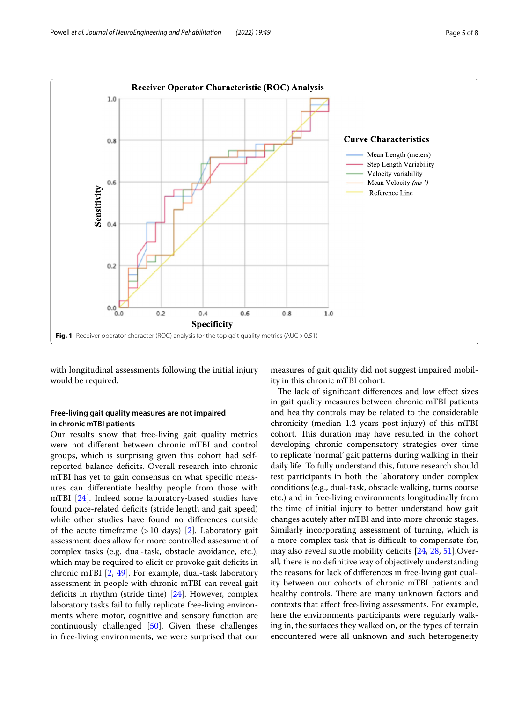

<span id="page-4-0"></span>with longitudinal assessments following the initial injury would be required.

## **Free‑living gait quality measures are not impaired in chronic mTBI patients**

Our results show that free-living gait quality metrics were not diferent between chronic mTBI and control groups, which is surprising given this cohort had selfreported balance deficits. Overall research into chronic mTBI has yet to gain consensus on what specifc measures can diferentiate healthy people from those with mTBI [\[24](#page-6-17)]. Indeed some laboratory-based studies have found pace-related deficits (stride length and gait speed) while other studies have found no diferences outside of the acute timeframe  $(>10$  days) [\[2](#page-6-1)]. Laboratory gait assessment does allow for more controlled assessment of complex tasks (e.g. dual-task, obstacle avoidance, etc.), which may be required to elicit or provoke gait deficits in chronic mTBI [[2,](#page-6-1) [49](#page-7-21)]. For example, dual-task laboratory assessment in people with chronic mTBI can reveal gait deficits in rhythm (stride time)  $[24]$  $[24]$ . However, complex laboratory tasks fail to fully replicate free-living environments where motor, cognitive and sensory function are continuously challenged [[50\]](#page-7-22). Given these challenges in free-living environments, we were surprised that our

measures of gait quality did not suggest impaired mobility in this chronic mTBI cohort.

The lack of significant differences and low effect sizes in gait quality measures between chronic mTBI patients and healthy controls may be related to the considerable chronicity (median 1.2 years post-injury) of this mTBI cohort. This duration may have resulted in the cohort developing chronic compensatory strategies over time to replicate 'normal' gait patterns during walking in their daily life. To fully understand this, future research should test participants in both the laboratory under complex conditions (e.g., dual-task, obstacle walking, turns course etc.) and in free-living environments longitudinally from the time of initial injury to better understand how gait changes acutely after mTBI and into more chronic stages. Similarly incorporating assessment of turning, which is a more complex task that is difficult to compensate for, may also reveal subtle mobility deficits [[24,](#page-6-17) [28](#page-7-23), [51](#page-7-24)]. Overall, there is no defnitive way of objectively understanding the reasons for lack of diferences in free-living gait quality between our cohorts of chronic mTBI patients and healthy controls. There are many unknown factors and contexts that afect free-living assessments. For example, here the environments participants were regularly walking in, the surfaces they walked on, or the types of terrain encountered were all unknown and such heterogeneity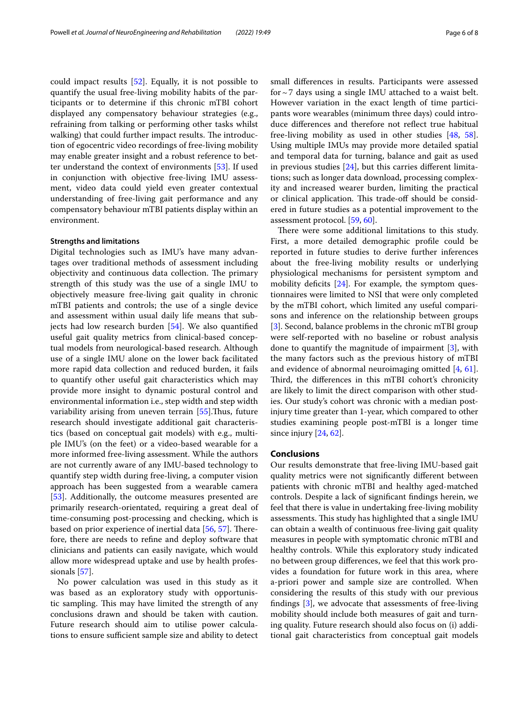could impact results [[52](#page-7-25)]. Equally, it is not possible to quantify the usual free-living mobility habits of the participants or to determine if this chronic mTBI cohort displayed any compensatory behaviour strategies (e.g., refraining from talking or performing other tasks whilst walking) that could further impact results. The introduction of egocentric video recordings of free-living mobility may enable greater insight and a robust reference to better understand the context of environments [[53\]](#page-7-26). If used in conjunction with objective free-living IMU assessment, video data could yield even greater contextual understanding of free-living gait performance and any compensatory behaviour mTBI patients display within an environment.

## **Strengths and limitations**

Digital technologies such as IMU's have many advantages over traditional methods of assessment including objectivity and continuous data collection. The primary strength of this study was the use of a single IMU to objectively measure free-living gait quality in chronic mTBI patients and controls; the use of a single device and assessment within usual daily life means that subjects had low research burden [\[54\]](#page-7-27). We also quantifed useful gait quality metrics from clinical-based conceptual models from neurological-based research. Although use of a single IMU alone on the lower back facilitated more rapid data collection and reduced burden, it fails to quantify other useful gait characteristics which may provide more insight to dynamic postural control and environmental information i.e., step width and step width variability arising from uneven terrain  $[55]$  $[55]$  $[55]$ . Thus, future research should investigate additional gait characteristics (based on conceptual gait models) with e.g., multiple IMU's (on the feet) or a video-based wearable for a more informed free-living assessment. While the authors are not currently aware of any IMU-based technology to quantify step width during free-living, a computer vision approach has been suggested from a wearable camera [[53\]](#page-7-26). Additionally, the outcome measures presented are primarily research-orientated, requiring a great deal of time-consuming post-processing and checking, which is based on prior experience of inertial data  $[56, 57]$  $[56, 57]$  $[56, 57]$  $[56, 57]$ . Therefore, there are needs to refne and deploy software that clinicians and patients can easily navigate, which would allow more widespread uptake and use by health professionals [\[57\]](#page-7-30).

No power calculation was used in this study as it was based as an exploratory study with opportunistic sampling. This may have limited the strength of any conclusions drawn and should be taken with caution. Future research should aim to utilise power calculations to ensure sufficient sample size and ability to detect small diferences in results. Participants were assessed for  $\sim$  7 days using a single IMU attached to a waist belt. However variation in the exact length of time participants wore wearables (minimum three days) could introduce diferences and therefore not refect true habitual free-living mobility as used in other studies [\[48,](#page-7-20) [58](#page-7-31)]. Using multiple IMUs may provide more detailed spatial and temporal data for turning, balance and gait as used in previous studies  $[24]$ , but this carries different limitations; such as longer data download, processing complexity and increased wearer burden, limiting the practical or clinical application. This trade-off should be considered in future studies as a potential improvement to the assessment protocol. [\[59,](#page-7-32) [60](#page-7-33)].

There were some additional limitations to this study. First, a more detailed demographic profle could be reported in future studies to derive further inferences about the free-living mobility results or underlying physiological mechanisms for persistent symptom and mobility deficits  $[24]$  $[24]$ . For example, the symptom questionnaires were limited to NSI that were only completed by the mTBI cohort, which limited any useful comparisons and inference on the relationship between groups [[3\]](#page-6-2). Second, balance problems in the chronic mTBI group were self-reported with no baseline or robust analysis done to quantify the magnitude of impairment [[3\]](#page-6-2), with the many factors such as the previous history of mTBI and evidence of abnormal neuroimaging omitted [\[4](#page-6-3), [61](#page-7-34)]. Third, the differences in this mTBI cohort's chronicity are likely to limit the direct comparison with other studies. Our study's cohort was chronic with a median postinjury time greater than 1-year, which compared to other studies examining people post-mTBI is a longer time since injury [[24](#page-6-17), [62\]](#page-7-35).

## **Conclusions**

Our results demonstrate that free-living IMU-based gait quality metrics were not signifcantly diferent between patients with chronic mTBI and healthy aged-matched controls. Despite a lack of signifcant fndings herein, we feel that there is value in undertaking free-living mobility assessments. This study has highlighted that a single IMU can obtain a wealth of continuous free-living gait quality measures in people with symptomatic chronic mTBI and healthy controls. While this exploratory study indicated no between group diferences, we feel that this work provides a foundation for future work in this area, where a-priori power and sample size are controlled. When considering the results of this study with our previous fndings [\[3](#page-6-2)], we advocate that assessments of free-living mobility should include both measures of gait and turning quality. Future research should also focus on (i) additional gait characteristics from conceptual gait models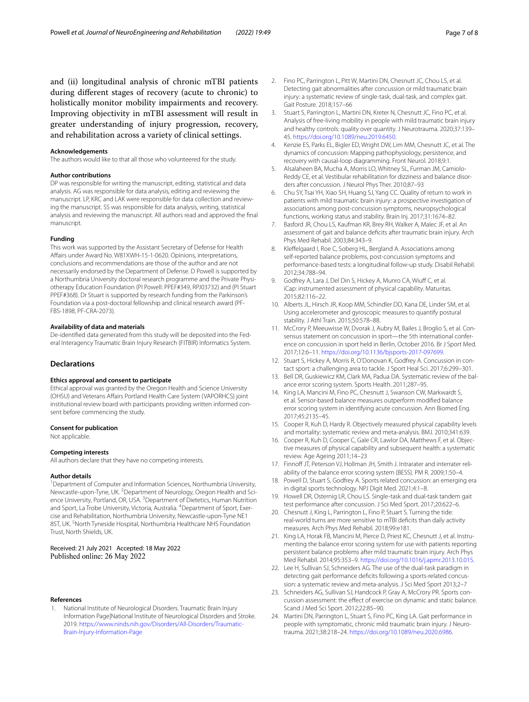and (ii) longitudinal analysis of chronic mTBI patients during diferent stages of recovery (acute to chronic) to holistically monitor mobility impairments and recovery. Improving objectivity in mTBI assessment will result in greater understanding of injury progression, recovery, and rehabilitation across a variety of clinical settings.

#### **Acknowledgements**

The authors would like to that all those who volunteered for the study.

#### **Author contributions**

DP was responsible for writing the manuscript, editing, statistical and data analysis. AG was responsible for data analysis, editing and reviewing the manuscript. LP, KRC and LAK were responsible for data collection and reviewing the manuscript. SS was responsible for data analysis, writing, statistical analysis and reviewing the manuscript. All authors read and approved the fnal manuscript.

#### **Funding**

This work was supported by the Assistant Secretary of Defense for Health Afairs under Award No. W81XWH-15-1-0620. Opinions, interpretations, conclusions and recommendations are those of the author and are not necessarily endorsed by the Department of Defense. D Powell is supported by a Northumbria University doctoral research programme and the Private Physiotherapy Education Foundation (PI Powell: PPEF#349, RPJ03732) and (PI Stuart PPEF#368). Dr Stuart is supported by research funding from the Parkinson's Foundation via a post-doctoral fellowship and clinical research award (PF-FBS-1898, PF-CRA-2073).

#### **Availability of data and materials**

De-identifed data generated from this study will be deposited into the Federal Interagency Traumatic Brain Injury Research (FITBIR) Informatics System.

## **Declarations**

#### **Ethics approval and consent to participate**

Ethical approval was granted by the Oregon Health and Science University (OHSU) and Veterans Affairs Portland Health Care System (VAPORHCS) joint institutional review board with participants providing written informed consent before commencing the study.

#### **Consent for publication**

Not applicable.

#### **Competing interests**

All authors declare that they have no competing interests.

#### **Author details**

<sup>1</sup> Department of Computer and Information Sciences, Northumbria University, Newcastle-upon-Tyne, UK. <sup>2</sup> Department of Neurology, Oregon Health and Science University, Portland, OR, USA. <sup>3</sup> Department of Dietetics, Human Nutrition and Sport, La Trobe University, Victoria, Australia. <sup>4</sup> Department of Sport, Exercise and Rehabilitation, Northumbria University, Newcastle-upon-Tyne NE1 8ST, UK. <sup>5</sup> North Tyneside Hospital, Northumbria Healthcare NHS Foundation Trust, North Shields, UK.

## Received: 21 July 2021 Accepted: 18 May 2022 Published online: 26 May 2022

#### **References**

<span id="page-6-0"></span>1. National Institute of Neurological Disorders. Traumatic Brain Injury Information Page|National Institute of Neurological Disorders and Stroke. 2019. [https://www.ninds.nih.gov/Disorders/All-Disorders/Traumatic-](https://www.ninds.nih.gov/Disorders/All-Disorders/Traumatic-Brain-Injury-Information-Page)[Brain-Injury-Information-Page](https://www.ninds.nih.gov/Disorders/All-Disorders/Traumatic-Brain-Injury-Information-Page)

- <span id="page-6-1"></span>2. Fino PC, Parrington L, Pitt W, Martini DN, Chesnutt JC, Chou LS, et al. Detecting gait abnormalities after concussion or mild traumatic brain injury: a systematic review of single-task, dual-task, and complex gait. Gait Posture. 2018;157–66
- <span id="page-6-2"></span>3. Stuart S, Parrington L, Martini DN, Kreter N, Chesnutt JC, Fino PC, et al. Analysis of free-living mobility in people with mild traumatic brain injury and healthy controls: quality over quantity. J Neurotrauma. 2020;37:139– 45. <https://doi.org/10.1089/neu.2019.6450>.
- <span id="page-6-3"></span>4. Kenzie ES, Parks EL, Bigler ED, Wright DW, Lim MM, Chesnutt JC, et al. The dynamics of concussion: Mapping pathophysiology, persistence, and recovery with causal-loop diagramming. Front Neurol. 2018;9:1.
- <span id="page-6-4"></span>5. Alsalaheen BA, Mucha A, Morris LO, Whitney SL, Furman JM, Camiolo-Reddy CE, et al. Vestibular rehabilitation for dizziness and balance disorders after concussion. J Neurol Phys Ther. 2010;87–93
- <span id="page-6-5"></span>6. Chu SY, Tsai YH, Xiao SH, Huang SJ, Yang CC. Quality of return to work in patients with mild traumatic brain injury: a prospective investigation of associations among post-concussion symptoms, neuropsychological functions, working status and stability. Brain Inj. 2017;31:1674–82.
- <span id="page-6-6"></span>7. Basford JR, Chou LS, Kaufman KR, Brey RH, Walker A, Malec JF, et al. An assessment of gait and balance defcits after traumatic brain injury. Arch Phys Med Rehabil. 2003;84:343–9.
- <span id="page-6-7"></span>8. Kleffelgaard I, Roe C, Soberg HL, Bergland A. Associations among self-reported balance problems, post-concussion symptoms and performance-based tests: a longitudinal follow-up study. Disabil Rehabil. 2012;34:788–94.
- <span id="page-6-8"></span>9. Godfrey A, Lara J, Del Din S, Hickey A, Munro CA, Wiuff C, et al. iCap: instrumented assessment of physical capability. Maturitas. 2015;82:116–22.
- 10. Alberts JL, Hirsch JR, Koop MM, Schindler DD, Kana DE, Linder SM, et al. Using accelerometer and gyroscopic measures to quantify postural stability. J Athl Train. 2015;50:578–88.
- 11. McCrory P, Meeuwisse W, Dvorak J, Aubry M, Bailes J, Broglio S, et al. Consensus statement on concussion in sport—the 5th international conference on concussion in sport held in Berlin, October 2016. Br J Sport Med. 2017;12:6–11. <https://doi.org/10.1136/bjsports-2017-097699>.
- <span id="page-6-9"></span>12. Stuart S, Hickey A, Morris R, O'Donovan K, Godfrey A. Concussion in contact sport: a challenging area to tackle. J Sport Heal Sci. 2017;6:299–301.
- <span id="page-6-10"></span>13. Bell DR, Guskiewicz KM, Clark MA, Padua DA. Systematic review of the balance error scoring system. Sports Health. 2011;287–95.
- <span id="page-6-11"></span>14. King LA, Mancini M, Fino PC, Chesnutt J, Swanson CW, Markwardt S, et al. Sensor-based balance measures outperform modifed balance error scoring system in identifying acute concussion. Ann Biomed Eng. 2017;45:2135–45.
- <span id="page-6-12"></span>15. Cooper R, Kuh D, Hardy R. Objectively measured physical capability levels and mortality: systematic review and meta-analysis. BMJ. 2010;341:639.
- 16. Cooper R, Kuh D, Cooper C, Gale CR, Lawlor DA, Matthews F, et al. Objective measures of physical capability and subsequent health: a systematic review. Age Ageing 2011;14–23
- 17. Finnoff JT, Peterson VJ, Hollman JH, Smith J. Intrarater and interrater reliability of the balance error scoring system (BESS). PM R. 2009;1:50–4.
- <span id="page-6-13"></span>18. Powell D, Stuart S, Godfrey A. Sports related concussion: an emerging era in digital sports technology. NPJ Digit Med. 2021;4:1–8.
- <span id="page-6-14"></span>19. Howell DR, Osternig LR, Chou LS. Single-task and dual-task tandem gait test performance after concussion. J Sci Med Sport. 2017;20:622–6.
- <span id="page-6-15"></span>20. Chesnutt J, King L, Parrington L, Fino P, Stuart S. Turning the tide: real-world turns are more sensitive to mTBI defcits than daily activity measures. Arch Phys Med Rehabil. 2018;99:e181.
- 21. King LA, Horak FB, Mancini M, Pierce D, Priest KC, Chesnutt J, et al. Instrumenting the balance error scoring system for use with patients reporting persistent balance problems after mild traumatic brain injury. Arch Phys Med Rehabil. 2014;95:353–9. <https://doi.org/10.1016/j.apmr.2013.10.015>.
- 22. Lee H, Sullivan SJ, Schneiders AG. The use of the dual-task paradigm in detecting gait performance defcits following a sports-related concussion: a systematic review and meta-analysis. J Sci Med Sport 2013;2–7
- <span id="page-6-16"></span>23. Schneiders AG, Sullivan SJ, Handcock P, Gray A, McCrory PR. Sports concussion assessment: the effect of exercise on dynamic and static balance. Scand J Med Sci Sport. 2012;22:85–90.
- <span id="page-6-17"></span>24. Martini DN, Parrington L, Stuart S, Fino PC, King LA. Gait performance in people with symptomatic, chronic mild traumatic brain injury. J Neurotrauma. 2021;38:218–24. <https://doi.org/10.1089/neu.2020.6986>.